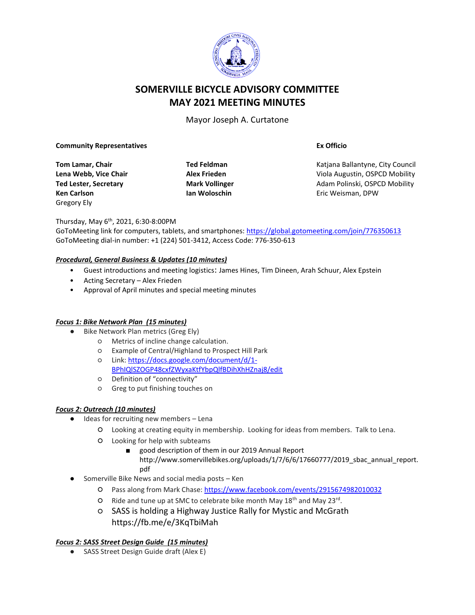

# **SOMERVILLE BICYCLE ADVISORY COMMITTEE MAY 2021 MEETING MINUTES**

Mayor Joseph A. Curtatone

#### **Community Representatives**

**Tom Lamar, Chair Lena Webb, Vice Chair Ted Lester, Secretary Ken Carlson** Gregory Ely

**Ted Feldman Alex Frieden Mark Vollinger Ian Woloschin**

**Ex Officio**

Katjana Ballantyne, City Council Viola Augustin, OSPCD Mobility Adam Polinski, OSPCD Mobility Eric Weisman, DPW

Thursday, May 6<sup>th</sup>, 2021, 6:30-8:00PM

GoToMeeting link for computers, tablets, and smartphones: <https://global.gotomeeting.com/join/776350613> GoToMeeting dial-in number: +1 (224) 501-3412, Access Code: 776-350-613

### *Procedural, General Business & Updates (10 minutes)*

- Guest introductions and meeting logistics: James Hines, Tim Dineen, Arah Schuur, Alex Epstein
- Acting Secretary Alex Frieden
- Approval of April minutes and special meeting minutes

#### *Focus 1: Bike Network Plan (15 minutes)*

- Bike Network Plan metrics (Greg Ely)
	- Metrics of incline change calculation.
	- Example of Central/Highland to Prospect Hill Park
	- Link: [https://docs.google.com/document/d/1-](https://docs.google.com/document/d/1-BPhIQlSZOGP48cxfZWyxaKtfYbpQlfBDihXhHZnaj8/edit) [BPhIQlSZOGP48cxfZWyxaKtfYbpQlfBDihXhHZnaj8/edit](https://docs.google.com/document/d/1-BPhIQlSZOGP48cxfZWyxaKtfYbpQlfBDihXhHZnaj8/edit)
	- Definition of "connectivity"
	- Greg to put finishing touches on

## *Focus 2: Outreach (10 minutes)*

- Ideas for recruiting new members Lena
	- Looking at creating equity in membership. Looking for ideas from members. Talk to Lena.
	- Looking for help with subteams
		- good description of them in our 2019 Annual Report http://www.somervillebikes.org/uploads/1/7/6/6/17660777/2019\_sbac\_annual\_report. pdf
- Somerville Bike News and social media posts Ken
	- Pass along from Mark Chase[: https://www.facebook.com/events/2915674982010032](https://www.facebook.com/events/2915674982010032)
	- O Ride and tune up at SMC to celebrate bike month May 18<sup>th</sup> and May 23<sup>rd</sup>.
	- SASS is holding a Highway Justice Rally for Mystic and McGrath https://fb.me/e/3KqTbiMah

## *Focus 2: SASS Street Design Guide (15 minutes)*

● SASS Street Design Guide draft (Alex E)